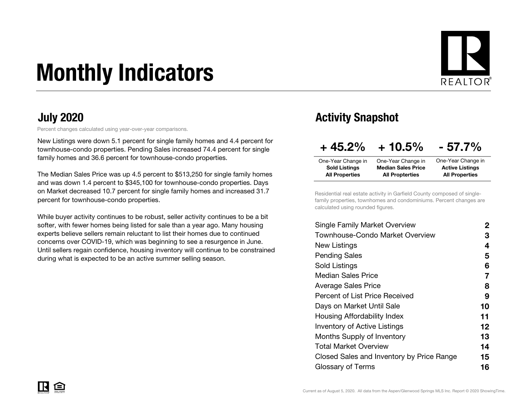# Monthly Indicators



#### July 2020

Percent changes calculated using year-over-year comparisons.

New Listings were down 5.1 percent for single family homes and 4.4 percent for townhouse-condo properties. Pending Sales increased 74.4 percent for single family homes and 36.6 percent for townhouse-condo properties.

The Median Sales Price was up 4.5 percent to \$513,250 for single family homes and was down 1.4 percent to \$345,100 for townhouse-condo properties. Days on Market decreased 10.7 percent for single family homes and increased 31.7 percent for townhouse-condo properties.

While buyer activity continues to be robust, seller activity continues to be a bitsofter, with fewer homes being listed for sale than a year ago. Many housing experts believe sellers remain reluctant to list their homes due to continued concerns over COVID-19, which was beginning to see a resurgence in June. Until sellers regain confidence, housing inventory will continue to be constrained during what is expected to be an active summer selling season.

#### Activity Snapshot

| $+45.2\%$             | $+10.5\%$                 | $-57.7\%$              |
|-----------------------|---------------------------|------------------------|
| One-Year Change in    | One-Year Change in        | One-Year Change in     |
| <b>Sold Listings</b>  | <b>Median Sales Price</b> | <b>Active Listings</b> |
| <b>All Properties</b> | <b>All Propterties</b>    | <b>All Properties</b>  |

Residential real estate activity in Garfield County composed of singlefamily properties, townhomes and condominiums. Percent changes are calculated using rounded figures.

| Single Family Market Overview             | 2       |
|-------------------------------------------|---------|
| Townhouse-Condo Market Overview           | З       |
| New Listings                              | 4       |
| <b>Pending Sales</b>                      | 5       |
| Sold Listings                             | 6       |
| <b>Median Sales Price</b>                 | 7       |
| Average Sales Price                       | 8       |
| <b>Percent of List Price Received</b>     | 9       |
| Days on Market Until Sale                 | 10      |
| Housing Affordability Index               | 11      |
| <b>Inventory of Active Listings</b>       | $12 \,$ |
| <b>Months Supply of Inventory</b>         | 13      |
| Total Market Overview                     | 14      |
| Closed Sales and Inventory by Price Range | 15      |
| Glossary of Terms                         | 16      |
|                                           |         |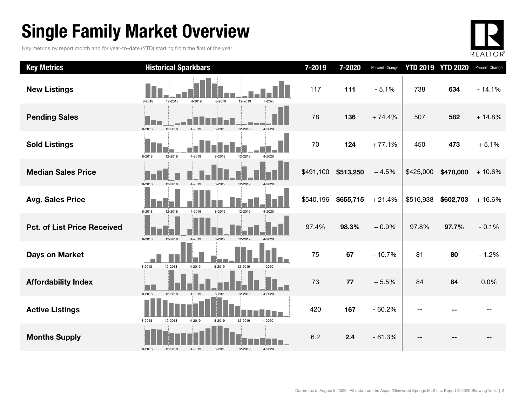## Single Family Market Overview

Key metrics by report month and for year-to-date (YTD) starting from the first of the year.



| <b>Key Metrics</b>                 | <b>Historical Sparkbars</b>                                    | 7-2019    | 7-2020    | Percent Change |           | <b>YTD 2019 YTD 2020</b> | Percent Change |
|------------------------------------|----------------------------------------------------------------|-----------|-----------|----------------|-----------|--------------------------|----------------|
| <b>New Listings</b>                | 12-2018<br>4-2019<br>12-2019<br>8-2018<br>8-2019<br>4-2020     | 117       | 111       | $-5.1%$        | 738       | 634                      | $-14.1%$       |
| <b>Pending Sales</b>               | 8-2018<br>12-2018<br>12-2019<br>4-2020<br>4-2019<br>8-2019     | 78        | 136       | $+74.4%$       | 507       | 582                      | $+14.8%$       |
| <b>Sold Listings</b>               | 12-2018<br>4-2019<br>12-2019<br>8-2018<br>8-2019<br>4-2020     | 70        | 124       | $+77.1%$       | 450       | 473                      | $+5.1%$        |
| <b>Median Sales Price</b>          | 8-2018<br>12-2018<br>4-2019<br>8-2019<br>12-2019<br>4-2020     | \$491,100 | \$513,250 | $+4.5%$        | \$425,000 | \$470,000                | $+10.6%$       |
| <b>Avg. Sales Price</b>            | 8-2018<br>12-2018<br>4-2019<br>8-2019<br>12-2019<br>4-2020     | \$540,196 | \$655,715 | $+21.4%$       | \$516,938 | \$602,703                | $+16.6%$       |
| <b>Pct. of List Price Received</b> | 8-2018<br>12-2018<br>4-2019<br>8-2019<br>12-2019<br>4-2020     | 97.4%     | 98.3%     | $+0.9%$        | 97.8%     | 97.7%                    | $-0.1%$        |
| <b>Days on Market</b>              | 8-2018<br>12-2018<br>4-2019<br>8-2019<br>12-2019<br>4-2020     | 75        | 67        | $-10.7%$       | 81        | 80                       | $-1.2%$        |
| <b>Affordability Index</b>         | 8-2018<br>12-2018<br>8-2019<br>12-2019<br>$4 - 2020$<br>4-2019 | 73        | 77        | $+5.5%$        | 84        | 84                       | 0.0%           |
| <b>Active Listings</b>             | 8-2018<br>4-2019<br>12-2019<br>4-2020<br>12-2018<br>8-2019     | 420       | 167       | $-60.2%$       |           |                          |                |
| <b>Months Supply</b>               | 4-2020<br>8-2018<br>12-2018<br>4-2019<br>8-2019<br>12-2019     | 6.2       | 2.4       | $-61.3%$       |           |                          |                |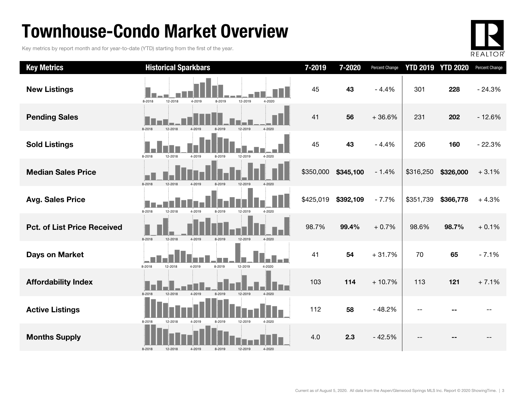## Townhouse-Condo Market Overview

Key metrics by report month and for year-to-date (YTD) starting from the first of the year.



| <b>Key Metrics</b>                 | <b>Historical Sparkbars</b>                                    | 7-2019    | 7-2020    | Percent Change |           | <b>YTD 2019 YTD 2020</b> | Percent Change |
|------------------------------------|----------------------------------------------------------------|-----------|-----------|----------------|-----------|--------------------------|----------------|
| <b>New Listings</b>                | 12-2019<br>8-2018<br>12-2018<br>4-2019<br>8-2019<br>$4 - 2020$ | 45        | 43        | $-4.4%$        | 301       | 228                      | $-24.3%$       |
| <b>Pending Sales</b>               | 8-2018<br>12-2019<br>$4 - 2020$                                | 41        | 56        | $+36.6%$       | 231       | 202                      | $-12.6%$       |
| <b>Sold Listings</b>               | 8-2018<br>12-2018<br>4-2019<br>12-2019<br>$4 - 2020$<br>8-2019 | 45        | 43        | $-4.4%$        | 206       | 160                      | $-22.3%$       |
| <b>Median Sales Price</b>          | 8-2018<br>12-2018                                              | \$350,000 | \$345,100 | $-1.4%$        | \$316,250 | \$326,000                | $+3.1%$        |
| <b>Avg. Sales Price</b>            | 8-2018<br>12-2018<br>4-2019<br>8-2019<br>12-2019<br>4-2020     | \$425,019 | \$392,109 | $-7.7%$        | \$351,739 | \$366,778                | $+4.3%$        |
| <b>Pct. of List Price Received</b> | 8-2018<br>12-2018<br>4-2019<br>8-2019<br>12-2019<br>$4 - 2020$ | 98.7%     | 99.4%     | $+0.7%$        | 98.6%     | 98.7%                    | $+0.1%$        |
| Days on Market                     | 12-2019<br>8-2018<br>12-2018<br>4-2019<br>8-2019<br>4-2020     | 41        | 54        | $+31.7%$       | 70        | 65                       | $-7.1%$        |
| <b>Affordability Index</b>         | 8-2018<br>12-2018<br>4-2019<br>8-2019<br>12-2019<br>$4 - 2020$ | 103       | 114       | $+10.7%$       | 113       | 121                      | $+7.1%$        |
| <b>Active Listings</b>             | 8-2018<br>12-2018<br>4-2019<br>8-2019<br>12-2019<br>4-2020     | 112       | 58        | $-48.2%$       |           |                          |                |
| <b>Months Supply</b>               | 12-2019<br>4-2020<br>8-2018<br>12-2018<br>4-2019<br>8-2019     | 4.0       | 2.3       | $-42.5%$       | --        |                          |                |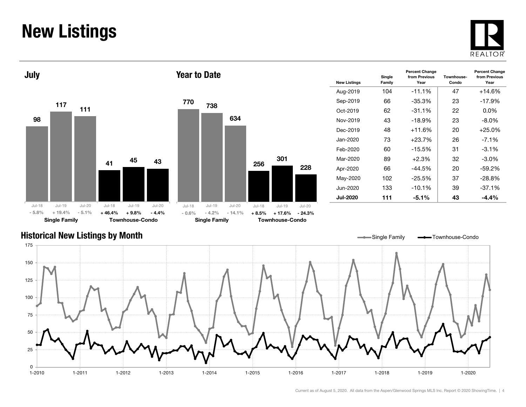### New Listings







Year to Date

| <b>New Listings</b> | Single<br>Family | <b>Percent Change</b><br>from Previous<br>Year | Townhouse-<br>Condo | <b>Percent Change</b><br>from Previous<br>Year |
|---------------------|------------------|------------------------------------------------|---------------------|------------------------------------------------|
| Aug-2019            | 104              | $-11.1%$                                       | 47                  | $+14.6%$                                       |
| Sep-2019            | 66               | $-35.3%$                                       | 23                  | $-17.9%$                                       |
| Oct-2019            | 62               | $-31.1\%$                                      | 22                  | $0.0\%$                                        |
| Nov-2019            | 43               | $-18.9%$                                       | 23                  | $-8.0\%$                                       |
| Dec-2019            | 48               | $+11.6%$                                       | 20                  | $+25.0%$                                       |
| Jan-2020.           | 73               | $+23.7%$                                       | 26                  | $-7.1%$                                        |
| Feb-2020            | 60               | $-15.5%$                                       | 31                  | $-3.1\%$                                       |
| Mar-2020            | 89               | $+2.3%$                                        | 32                  | $-3.0\%$                                       |
| Apr-2020            | 66               | $-44.5%$                                       | 20                  | $-59.2%$                                       |
| May-2020            | 102              | $-25.5\%$                                      | 37                  | $-28.8%$                                       |
| Jun-2020            | 133              | $-10.1%$                                       | 39                  | $-37.1%$                                       |
| Jul-2020            | 111              | $-5.1\%$                                       | 43                  | $-4.4\%$                                       |

#### Historical New Listings by Month



Current as of August 5, 2020. All data from the Aspen/Glenwood Springs MLS Inc. Report © 2020 ShowingTime. | 4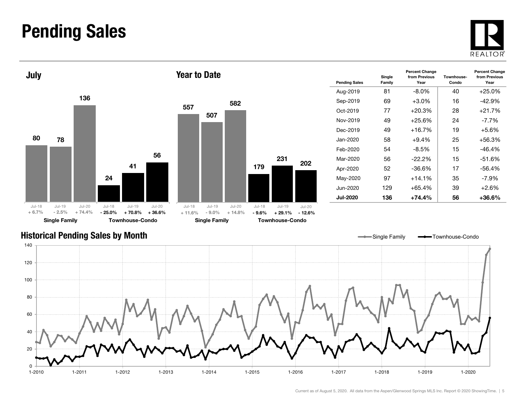#### Pending Sales







| <b>Pending Sales</b> | Single<br>Family | <b>Percent Change</b><br>from Previous<br>Year | Townhouse-<br>Condo | <b>Percent Change</b><br>from Previous<br>Year |
|----------------------|------------------|------------------------------------------------|---------------------|------------------------------------------------|
| Aug-2019             | 81               | $-8.0\%$                                       | 40                  | $+25.0%$                                       |
| Sep-2019             | 69               | $+3.0%$                                        | 16                  | $-42.9%$                                       |
| Oct-2019             | 77               | $+20.3%$                                       | 28                  | $+21.7%$                                       |
| Nov-2019             | 49               | $+25.6%$                                       | 24                  | $-7.7\%$                                       |
| Dec-2019             | 49               | $+16.7%$                                       | 19                  | $+5.6%$                                        |
| Jan-2020.            | 58               | $+9.4\%$                                       | 25                  | $+56.3%$                                       |
| Feb-2020             | 54               | $-8.5%$                                        | 15                  | $-46.4%$                                       |
| Mar-2020             | 56               | $-22.2\%$                                      | 15                  | $-51.6%$                                       |
| Apr-2020             | 52               | -36.6%                                         | 17                  | -56.4%                                         |
| May-2020             | 97               | $+14.1%$                                       | 35                  | $-7.9%$                                        |
| Jun-2020             | 129              | $+65.4%$                                       | 39                  | $+2.6%$                                        |
| Jul-2020             | 136              | $+74.4\%$                                      | 56                  | +36.6%                                         |

#### Historical Pending Sales by Month

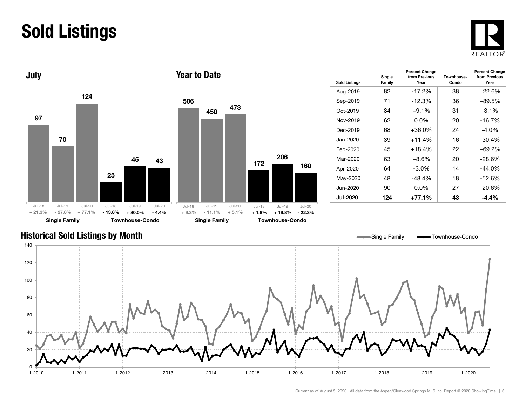## Sold Listings





| <b>Sold Listings</b> | Single<br>Family | <b>Percent Change</b><br>from Previous<br>Year | Townhouse-<br>Condo | <b>Percent Change</b><br>from Previous<br>Year |
|----------------------|------------------|------------------------------------------------|---------------------|------------------------------------------------|
| Aug-2019             | 82               | $-17.2%$                                       | 38                  | +22.6%                                         |
| Sep-2019             | 71               | $-12.3\%$                                      | 36                  | +89.5%                                         |
| $Oct-2019$           | 84               | $+9.1\%$                                       | 31                  | $-3.1\%$                                       |
| Nov-2019             | 62               | $0.0\%$                                        | 20                  | $-16.7%$                                       |
| Dec-2019             | 68               | $+36.0\%$                                      | 24                  | $-4.0\%$                                       |
| Jan-2020.            | 39               | $+11.4%$                                       | 16                  | $-30.4%$                                       |
| Feb-2020             | 45               | $+18.4%$                                       | 22                  | +69.2%                                         |
| Mar-2020             | 63               | $+8.6%$                                        | 20                  | -28.6%                                         |
| Apr-2020             | 64               | $-3.0\%$                                       | 14                  | $-44.0%$                                       |
| May-2020             | 48               | $-48.4%$                                       | 18                  | $-52.6%$                                       |
| Jun-2020             | 90               | $0.0\%$                                        | 27                  | $-20.6\%$                                      |
| <b>Jul-2020</b>      | 124              | +77.1%                                         | 43                  | -4.4%                                          |

#### Historical Sold Listings by Month

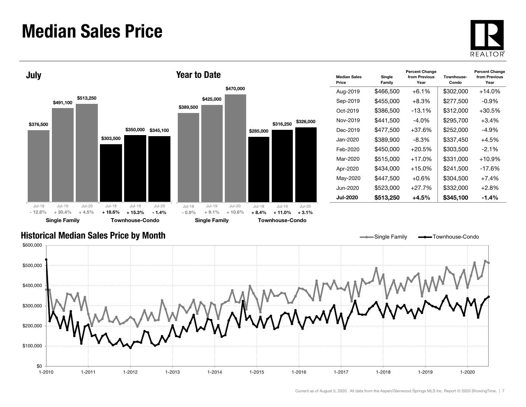#### Median Sales Price





| <b>Median Sales</b><br>Price | Single<br>Family | <b>Percent Change</b><br>from Previous<br>Year | Townhouse-<br>Condo | <b>Percent Change</b><br>from Previous<br>Year |
|------------------------------|------------------|------------------------------------------------|---------------------|------------------------------------------------|
| Aug-2019                     | \$466,500        | $+6.1\%$                                       | \$302,000           | +14.0%                                         |
| Sep-2019                     | \$455,000        | $+8.3\%$                                       | \$277,500           | -0.9%                                          |
| Oct-2019                     | \$386,500        | $-13.1\%$                                      | \$312,000           | +30.5%                                         |
| Nov-2019                     | \$441,500        | -4.0%                                          | \$295,700           | $+3.4\%$                                       |
| Dec-2019                     | \$477,500        | $+37.6%$                                       | \$252,000           | $-4.9%$                                        |
| Jan-2020.                    | \$389,900        | -8.3%                                          | \$337,450           | $+4.5%$                                        |
| Feb-2020                     | \$450,000        | $+20.5%$                                       | \$303,500           | $-2.1\%$                                       |
| Mar-2020                     | \$515,000        | $+17.0%$                                       | \$331,000           | $+10.9%$                                       |
| Apr-2020                     | \$434,000        | $+15.0\%$                                      | \$241,500           | -17.6%                                         |
| May-2020                     | \$447,500        | $+0.6\%$                                       | \$304.500           | $+7.4%$                                        |
| Jun-2020.                    | \$523.000        | +27.7%                                         | \$332,000           | $+2.8%$                                        |
| Jul-2020                     | \$513,250        | +4.5%                                          | \$345,100           | $-1.4\%$                                       |

Single Family **-**Townhouse-Condo

#### Historical Median Sales Price by Month

\$0 \$100,000 \$200,000 \$300,000 \$400,000 \$500,000 \$600,000 1-2010 1-2011 1-2012 1-2013 1-2014 1-2015 1-2016 1-2017 1-2018 1-2019 1-20201-2020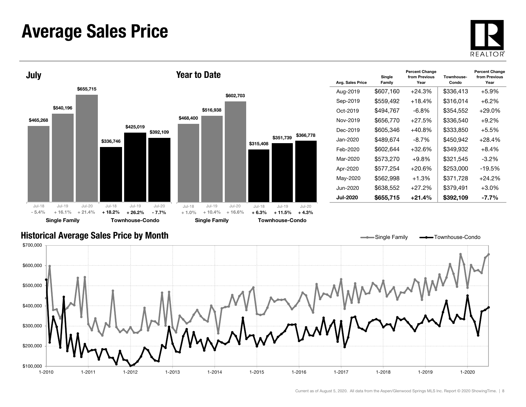#### Average Sales Price





| Avg. Sales Price | Single<br>Family | <b>Percent Change</b><br>from Previous<br>Year | Townhouse-<br>Condo | <b>Percent Change</b><br>from Previous<br>Year |
|------------------|------------------|------------------------------------------------|---------------------|------------------------------------------------|
| Aug-2019         | \$607,160        | $+24.3%$                                       | \$336,413           | +5.9%                                          |
| Sep-2019         | \$559,492        | $+18.4%$                                       | \$316,014           | $+6.2%$                                        |
| Oct-2019         | \$494.767        | -6.8%                                          | \$354,552           | $+29.0\%$                                      |
| Nov-2019         | \$656,770        | $+27.5%$                                       | \$336,540           | $+9.2%$                                        |
| Dec-2019         | \$605,346        | $+40.8%$                                       | \$333,850           | $+5.5%$                                        |
| Jan-2020.        | \$489,674        | -8.7%                                          | \$450,942           | $+28.4%$                                       |
| Feb-2020         | \$602.644        | +32.6%                                         | \$349.932           | $+8.4\%$                                       |
| Mar-2020         | \$573,270        | $+9.8%$                                        | \$321,545           | $-3.2\%$                                       |
| Apr-2020         | \$577.254        | +20.6%                                         | \$253,000           | $-19.5\%$                                      |
| May-2020         | \$562,998        | $+1.3%$                                        | \$371,728           | +24.2%                                         |
| Jun-2020         | \$638,552        | $+27.2%$                                       | \$379,491           | $+3.0\%$                                       |
| Jul-2020         | \$655,715        | $+21.4%$                                       | \$392,109           | -7.7%                                          |

Single Family **-** Townhouse-Condo

#### Historical Average Sales Price by Month

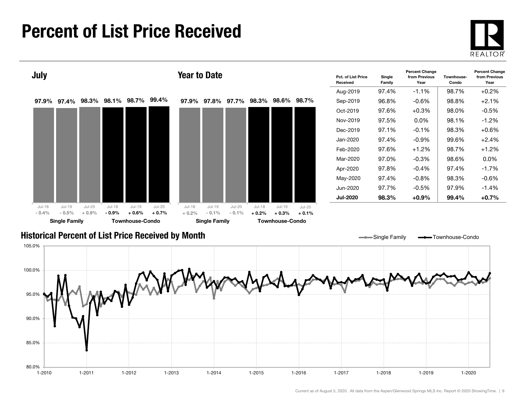### Percent of List Price Received





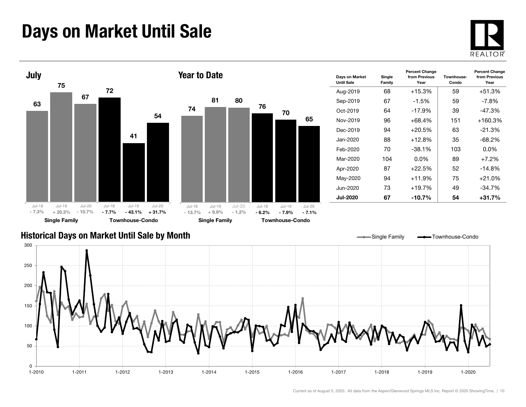## Days on Market Until Sale





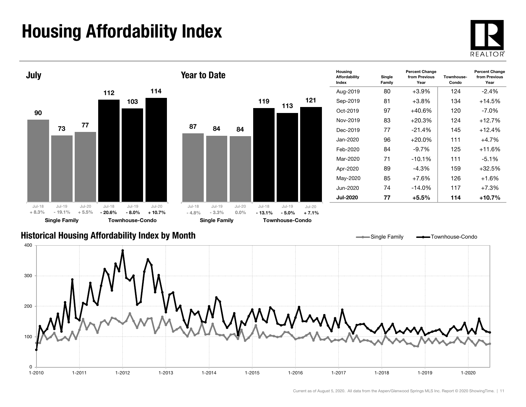## Housing Affordability Index



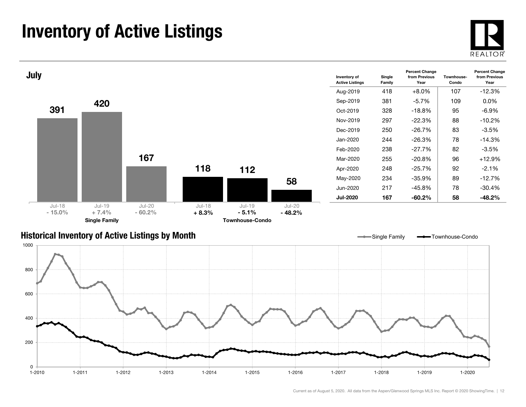## Inventory of Active Listings





#### Historical Inventory of Active Listings by Month

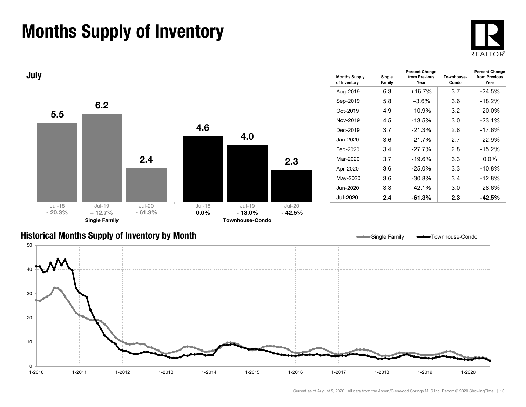## Months Supply of Inventory





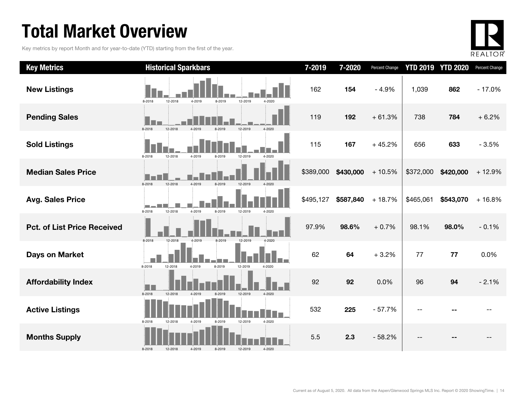## Total Market Overview

Key metrics by report Month and for year-to-date (YTD) starting from the first of the year.



| <b>Key Metrics</b>                 | <b>Historical Sparkbars</b>                                               | 7-2019    | 7-2020    | Percent Change |           | <b>YTD 2019 YTD 2020</b> | Percent Change |
|------------------------------------|---------------------------------------------------------------------------|-----------|-----------|----------------|-----------|--------------------------|----------------|
| <b>New Listings</b>                | 8-2018<br>12-2018<br>4-2019<br>8-2019<br>12-2019<br>4-2020                | 162       | 154       | $-4.9%$        | 1,039     | 862                      | $-17.0%$       |
| <b>Pending Sales</b>               | 8-2018<br>12-2018<br>12-2019<br>4-2020<br>4-2019<br>8-2019                | 119       | 192       | $+61.3%$       | 738       | 784                      | $+6.2%$        |
| <b>Sold Listings</b>               | 4-2019<br>12-2019<br>8-2018<br>12-2018<br>8-2019<br>4-2020                | 115       | 167       | $+45.2%$       | 656       | 633                      | $-3.5%$        |
| <b>Median Sales Price</b>          | 8-2018<br>12-2018<br>4-2019<br>8-2019<br>12-2019<br>$4 - 2020$            | \$389,000 | \$430,000 | $+10.5%$       | \$372,000 | \$420,000                | $+12.9%$       |
| <b>Avg. Sales Price</b>            | ا کا دیا گا<br>12-2018<br>4-2019<br>8-2018<br>8-2019<br>12-2019<br>4-2020 | \$495,127 | \$587,840 | $+18.7%$       | \$465,061 | \$543,070                | $+16.8%$       |
| <b>Pct. of List Price Received</b> | 8-2018<br>12-2019<br>12-2018<br>8-2019<br>4-2019<br>4-2020                | 97.9%     | 98.6%     | $+0.7%$        | 98.1%     | 98.0%                    | $-0.1%$        |
| <b>Days on Market</b>              | 8-2018<br>12-2018<br>4-2019<br>8-2019<br>12-2019<br>4-2020                | 62        | 64        | $+3.2%$        | 77        | 77                       | 0.0%           |
| <b>Affordability Index</b>         | 8-2018<br>12-2018<br>12-2019<br>$4 - 2020$<br>4-2019<br>8-2019            | 92        | 92        | 0.0%           | 96        | 94                       | $-2.1%$        |
| <b>Active Listings</b>             | 12-2019<br>4-2020<br>8-2018<br>12-2018<br>4-2019<br>8-2019                | 532       | 225       | $-57.7%$       |           |                          |                |
| <b>Months Supply</b>               | 12-2019<br>4-2020<br>8-2018<br>12-2018<br>4-2019<br>8-2019                | 5.5       | 2.3       | $-58.2%$       |           |                          |                |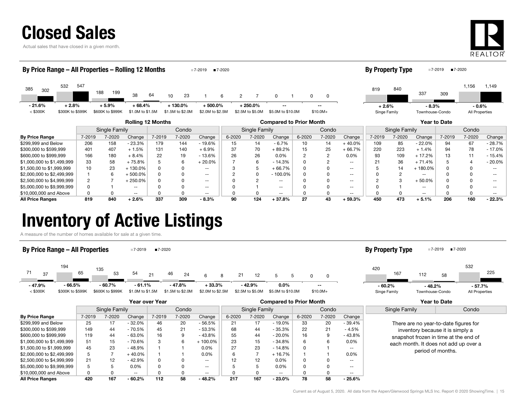Actual sales that have closed in a given month.



#### **By Price Range** | 7-2019 7-2020 Change | 7-2020 Change | 6-2020 Change | 6-2020 7-2020 Change | 7-2020 Change | 7-2019 7-2020 Change | 7-2019 7-2020 Change \$299,999 and Below | 206 158 - 23.3% | 179 144 - 19.6% | 15 14 - 6.7% | 10 14 + 40.0% | 109 85 - 22.0% | 94 67 - 28.7% \$300,000 to \$599,999 401 407 + 1.5% 131 140 + 6.9% 37 70 + 89.2% 15 25 + 66.7% 220 223 + 1.4% 94 78 - 17.0% \$600,000 to \$999,999 166 180 + 8.4% 22 19 - 13.6% 26 26 0.0% 2 2 0.0% 93 109 + 17.2% 13 11 - 15.4%  $$1,000,000$$  to  $$1,499,999$   $$3$   $$58$   $$+75.8\%$   $$5$   $$6$   $$+20.0\%$   $$7$   $$6$   $$-14.3\%$  0  $$2$   $$ $1$   $$21$   $$36$   $$+71.4\%$   $$5$   $$4$   $$-20.0\%$ Rolling 12 Months Compared to Prior Month Year to Date Single Family Condo || Single Family | Condo || Single Family | Condo 385 <sup>532</sup> 188 $38 \t 64$  10 230 23 1 6 2 7 0 1 0 302<br>2002 10:00 10:00 10:00 10:00 10:00 10:00 10:00 10:00 10:00 10:00 10:00 10:00 10:00 10:00 10:00 10:00 10:00 10 547 199 6 7 1 0 $<$  \$300K \$300K to \$599K \$600K to \$999K \$1.0M to \$1.5M \$1.5M to \$2.0M \$2.0M \$2.5M \$2.5M to \$5.0M \$5.0M to \$10.0M \$10.0M+ By Price Range – All Properties – Rolling 12 Months 7-2019 **17-2020** 8193371,156 <sup>840</sup>3091,149 Singe Family Townhouse-Condo All Properties By Property Type  $7-2019$   $7-2020$ --- 21.6% $+ 2.8\% + 5.9\% + 68.4\%$  $\%$  + 130.0% + 500.0% + 250.0% -- -- -- -- + 2.6% + 2.6%  $+2.6\%$   $-8.3\%$   $-0.6\%$

\$1,500,00 to \$1,999,999 10 23 + 130.0% 0 0 -- 3 5 + 66.7% 0 0 -- 5 14 + 180.0% 0 0 --  $$2,000,000 \text{ to } $2,499,999$   $\begin{array}{ccccccc} & 1 & 6 & +500.0\% & 0 & 0 & -1\ 2 & 0 & -100.0\% & 0 & 0 & -1\ \end{array}$ \$2,500,000 to \$4,999,999 2 7 + 250.0% 0 0 -- 0 2 -- 0 0 -- 2 3 + 50.0% 0 0 -- \$5,000,000 to \$9,999,999 0 1 -- 0 0 -- 0 1 -- 0 0 -- 0 1 -- 0 0 -- \$10,000,000 and Above 0 0 -- 0 0 -- 0 0 -- 0 0 -- 0 0 -- 0 0 -- All Price Ranges 819 840 + 2.6% 337 309 - 8.3% 90 124 + 37.8% 27 43 + 59.3% 450 473 + 5.1% 206 160 - 22.3%

## Inventory of Active Listings

A measure of the number of homes available for sale at a given time.

#### By Price Range – All Properties 7-2019 **17-2020**

#### 71194 1355421 46 66 8 21 12 5 037 65 53 54 21 46 24 6 8 21 12 5 5 0 0 < \$300K \$300K to \$599K \$600K to \$999K \$1.0M to \$1.5M \$1.5M to \$2.0M \$2.5M \$2.5M \$2.5M to \$5.0M \$5.0M to \$10.0M \$10.0M+ - 47.9%- 66.5% - 60.7% - 61.1% 0.0% - 47.8% + 33.3% - 42.9% -- - 60.2%

#### 420  $(112)$  58 167

Singe Family Townhouse-Condo All Properties - 48.2% - 57.7%

By Property Type  $\blacksquare$ 7-2019  $\blacksquare$ 7-2020

532

8 225

|                            | Year over Year |        |          |          |              |                          | <b>Compared to Prior Month</b> |               |           |        |        |               | Year to Date                          |                                       |
|----------------------------|----------------|--------|----------|----------|--------------|--------------------------|--------------------------------|---------------|-----------|--------|--------|---------------|---------------------------------------|---------------------------------------|
|                            | Single Family  |        |          | Condo    |              |                          |                                | Single Family |           |        | Condo  |               | Single Family                         | Condo                                 |
| <b>By Price Range</b>      | 7-2019         | 7-2020 | Change   | 7-2019   | 7-2020       | Change                   | 6-2020                         | 7-2020        | Change    | 6-2020 | 7-2020 | Change        |                                       |                                       |
| \$299.999 and Below        | 25             | 17     | $-32.0%$ | 46       | 20           | $-56.5%$                 | 21                             | 17            | $-19.0\%$ | 33     | 20     | - 39.4%       |                                       | There are no year-to-date figures for |
| \$300.000 to \$599.999     | 149            | 44     | $-70.5%$ | 45       | 21           | $-53.3%$                 | 68                             | 44            | $-35.3%$  | 22     | 21     | $-4.5%$       |                                       | inventory because it is simply a      |
| \$600.000 to \$999.999     | 119            | 44     | $-63.0%$ | 16       | 9            | $-43.8%$                 | 55                             | 44            | $-20.0\%$ | 16     |        | $-43.8%$      |                                       | snapshot frozen in time at the end of |
| \$1,000,000 to \$1,499,999 | 51             | 15     | - 70.6%  | 3        | 6            | $+100.0\%$               | 23                             | 15            | $-34.8%$  | 6      |        | $0.0\%$       | each month. It does not add up over a |                                       |
| \$1,500,00 to \$1,999,999  | 45             | 23     | $-48.9%$ |          |              | $0.0\%$                  | 27                             | 23            | $-14.8%$  |        |        | --            | period of months.                     |                                       |
| \$2,000,000 to \$2,499,999 | 5              |        | $+40.0%$ |          |              | $0.0\%$                  | 6                              |               | $+16.7%$  |        |        | 0.0%          |                                       |                                       |
| \$2.500.000 to \$4.999.999 | 21             | 12     | $-42.9%$ | $\Omega$ | <sup>0</sup> | $\sim$ $\sim$            | $12 \overline{ }$              | 12            | $0.0\%$   |        |        | $\sim$ $\sim$ |                                       |                                       |
| \$5,000,000 to \$9,999,999 | 5              |        | $0.0\%$  | $\Omega$ |              | $\overline{\phantom{a}}$ |                                | 5             | 0.0%      |        |        | --            |                                       |                                       |
| \$10,000,000 and Above     | 0              |        | $- -$    | 0        |              | $- -$                    | 0                              | 0             | $- -$     |        |        | $- -$         |                                       |                                       |
| All Price Ranges           | 420            | 167    | $-60.2%$ | 112      | 58           | $-48.2%$                 | 217                            | 167           | $-23.0%$  | 78     | 58     | $-25.6%$      |                                       |                                       |